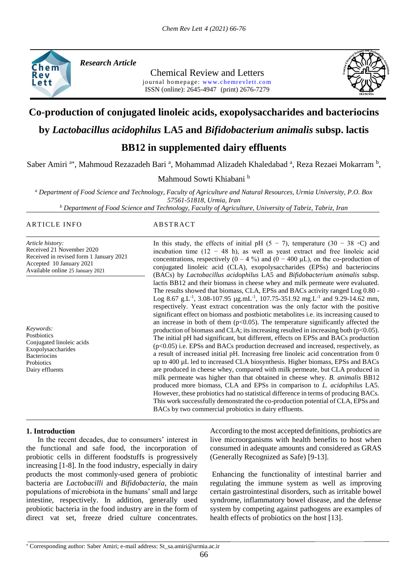

*Research Article* 

Chemical Review and Letters journal homepage: www.chemrevlett.com ISSN (online): 2645-4947(print) 2676-7279



# **Co-production of conjugated linoleic acids, exopolysaccharides and bacteriocins**

# **by** *Lactobacillus acidophilus* **LA5 and** *Bifidobacterium animalis* **subsp. lactis**

# **BB12 in supplemented dairy effluents**

Saber Amiri<sup>a\*</sup>, Mahmoud Rezazadeh Bari<sup>a</sup>, Mohammad Alizadeh Khaledabad<sup>a</sup>, Reza Rezaei Mokarram<sup>b</sup>,

Mahmoud Sowti Khiabani b

*<sup>a</sup> Department of Food Science and Technology, Faculty of Agriculture and Natural Resources, Urmia University, P.O. Box 57561-51818, Urmia, Iran*

*<sup>b</sup> Department of Food Science and Technology, Faculty of Agriculture, University of Tabriz, Tabriz, Iran*

#### ARTICLE INFO ABSTRACT

*Article history:* Received 21 November 2020 Received in revised form 1 January 2021 Accepted 10 January 2021 Available online 25 January 2021

*Keywords:* **Postbiotics** Conjugated linoleic acids Exopolysaccharides **Bacteriocins Probiotics** Dairy effluents

In this study, the effects of initial pH  $(5 - 7)$ , temperature  $(30 - 38 \text{ °C})$  and incubation time (12 − 48 h), as well as yeast extract and free linoleic acid concentrations, respectively  $(0 - 4\%)$  and  $(0 - 400 \mu L)$ , on the co-production of conjugated linoleic acid (CLA), exopolysaccharides (EPSs) and bacteriocins (BACs) by *Lactobacillus acidophilus* LA5 and *Bifidobacterium animalis* subsp. lactis BB12 and their biomass in cheese whey and milk permeate were evaluated. The results showed that biomass, CLA, EPSs and BACs activity ranged Log 0.80 - Log 8.67 g.L<sup>-1</sup>, 3.08-107.95  $\mu$ g.mL<sup>-1</sup>, 107.75-351.92 mg.L<sup>-1</sup> and 9.29-14.62 mm, respectively. Yeast extract concentration was the only factor with the positive significant effect on biomass and postbiotic metabolites i.e. its increasing caused to an increase in both of them  $(p<0.05)$ . The temperature significantly affected the production of biomass and CLA; its increasing resulted in increasing both ( $p<0.05$ ). The initial pH had significant, but different, effects on EPSs and BACs production  $(p<0.05)$  i.e. EPSs and BACs production decreased and increased, respectively, as a result of increased initial pH. Increasing free linoleic acid concentration from 0 up to 400 µL led to increased CLA biosynthesis. Higher biomass, EPSs and BACs are produced in cheese whey, compared with milk permeate, but CLA produced in milk permeate was higher than that obtained in cheese whey. *B. animalis* BB12 produced more biomass, CLA and EPSs in comparison to *L. acidophilus* LA5. However, these probiotics had no statistical difference in terms of producing BACs. This work successfully demonstrated the co-production potential of CLA, EPSs and BACs by two commercial probiotics in dairy effluents.

## **1. Introduction**

 In the recent decades, due to consumers' interest in the functional and safe food, the incorporation of probiotic cells in different foodstuffs is progressively increasing [1-8]. In the food industry, especially in dairy products the most commonly-used genera of probiotic bacteria are *Lactobacilli* and *Bifidobacteria*, the main populations of microbiota in the humans' small and large intestine, respectively. In addition, generally used probiotic bacteria in the food industry are in the form of direct vat set, freeze dried culture concentrates.

According to the most accepted definitions, probiotics are live microorganisms with health benefits to host when consumed in adequate amounts and considered as GRAS (Generally Recognized as Safe) [9-13].

Enhancing the functionality of intestinal barrier and regulating the immune system as well as improving certain gastrointestinal disorders, such as irritable bowel syndrome, inflammatory bowel disease, and the defense system by competing against pathogens are examples of health effects of probiotics on the host [13].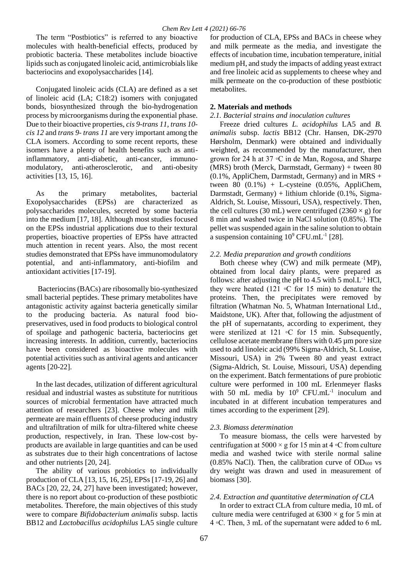The term "Postbiotics" is referred to any bioactive molecules with health-beneficial effects, produced by probiotic bacteria. These metabolites include bioactive lipids such as conjugated linoleic acid, antimicrobials like bacteriocins and exopolysaccharides [14].

Conjugated linoleic acids (CLA) are defined as a set of linoleic acid (LA; C18:2) isomers with conjugated bonds, biosynthesized through the bio-hydrogenation process by microorganisms during the exponential phase. Due to their bioactive properties, *cis 9-trans 11*, *trans 10 cis 12* and *trans 9- trans 11* are very important among the CLA isomers. According to some recent reports, these isomers have a plenty of health benefits such as antiinflammatory, anti-diabetic, anti-cancer, immunomodulatory, anti-atherosclerotic, and anti-obesity activities [13, 15, 16].

As the primary metabolites, bacterial Exopolysaccharides (EPSs) are characterized as polysaccharides molecules, secreted by some bacteria into the medium [17, 18]. Although most studies focused on the EPSs industrial applications due to their textural properties, bioactive properties of EPSs have attracted much attention in recent years. Also, the most recent studies demonstrated that EPSs have immunomodulatory potential, and anti-inflammatory, anti-biofilm and antioxidant activities [17-19].

Bacteriocins (BACs) are ribosomally bio-synthesized small bacterial peptides. These primary metabolites have antagonistic activity against bacteria genetically similar to the producing bacteria. As natural food biopreservatives, used in food products to biological control of spoilage and pathogenic bacteria, bacteriocins get increasing interests. In addition, currently, bacteriocins have been considered as bioactive molecules with potential activities such as antiviral agents and anticancer agents [20-22].

In the last decades, utilization of different agricultural residual and industrial wastes as substitute for nutritious sources of microbial fermentation have attracted much attention of researchers [23]. Cheese whey and milk permeate are main effluents of cheese producing industry and ultrafiltration of milk for ultra-filtered white cheese production, respectively, in Iran. These low-cost byproducts are available in large quantities and can be used as substrates due to their high concentrations of lactose and other nutrients [20, 24].

The ability of various probiotics to individually production of CLA [13, 15, 16, 25], EPSs [17-19, 26] and BACs [20, 22, 24, 27] have been investigated; however, there is no report about co-production of these postbiotic metabolites. Therefore, the main objectives of this study were to compare *Bifidobacterium animalis* subsp. lactis BB12 and *Lactobacillus acidophilus* LA5 single culture

for production of CLA, EPSs and BACs in cheese whey and milk permeate as the media, and investigate the effects of incubation time, incubation temperature, initial medium pH, and study the impacts of adding yeast extract and free linoleic acid as supplements to cheese whey and milk permeate on the co-production of these postbiotic metabolites.

## **2. Materials and methods**

#### *2.1. Bacterial strains and inoculation cultures*

Freeze dried cultures *L. acidophilus* LA5 and *B. animalis* subsp. *lactis* BB12 (Chr. Hansen, DK-2970 Hørsholm, Denmark) were obtained and individually weighted, as recommended by the manufacturer, then grown for 24 h at 37 ◦C in de Man, Rogosa, and Sharpe (MRS) broth (Merck, Darmstadt, Germany) + tween 80  $(0.1\%$ , AppliChem, Darmstadt, Germany) and in MRS + tween 80  $(0.1\%)$  + L-cysteine  $(0.05\%$ , AppliChem, Darmstadt, Germany) + lithium chloride (0.1%, Sigma-Aldrich, St. Louise, Missouri, USA), respectively. Then, the cell cultures (30 mL) were centrifuged (2360  $\times$  g) for 8 min and washed twice in NaCl solution (0.85%). The pellet was suspended again in the saline solution to obtain a suspension containing  $10^9$  CFU.mL<sup>-1</sup> [28].

## *2.2. Media preparation and growth conditions*

Both cheese whey (CW) and milk permeate (MP), obtained from local dairy plants, were prepared as follows: after adjusting the pH to 4.5 with 5 mol. $L^{-1}$  HCl, they were heated (121  $\circ$ C for 15 min) to denature the proteins. Then, the precipitates were removed by filtration (Whatman No. 5, Whatman International Ltd., Maidstone, UK). After that, following the adjustment of the pH of supernatants, according to experiment, they were sterilized at 121 ∘C for 15 min. Subsequently, cellulose acetate membrane filters with 0.45 µm pore size used to add linoleic acid (99% Sigma-Aldrich, St. Louise, Missouri, USA) in 2% Tween 80 and yeast extract (Sigma-Aldrich, St. Louise, Missouri, USA) depending on the experiment. Batch fermentations of pure probiotic culture were performed in 100 mL Erlenmeyer flasks with 50 mL media by  $10^9$  CFU.mL<sup>-1</sup> inoculum and incubated in at different incubation temperatures and times according to the experiment [29].

## *2.3. Biomass determination*

To measure biomass, the cells were harvested by centrifugation at  $5000 \times g$  for 15 min at 4 ∘C from culture media and washed twice with sterile normal saline (0.85% NaCl). Then, the calibration curve of  $OD_{600}$  vs dry weight was drawn and used in measurement of biomass [30].

## *2.4. Extraction and quantitative determination of CLA*

In order to extract CLA from culture media, 10 mL of culture media were centrifuged at  $6300 \times g$  for 5 min at 4 ◦C. Then, 3 mL of the supernatant were added to 6 mL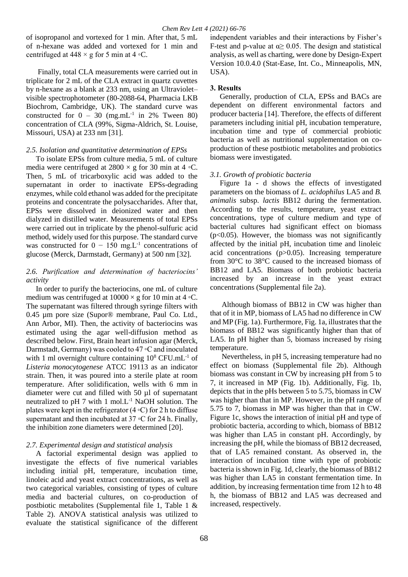of isopropanol and vortexed for 1 min. After that, 5 mL of n-hexane was added and vortexed for 1 min and centrifuged at  $448 \times g$  for 5 min at  $4 \, \circ \text{C}$ .

Finally, total CLA measurements were carried out in triplicate for 2 mL of the CLA extract in quartz cuvettes by n-hexane as a blank at 233 nm, using an Ultraviolet– visible spectrophotometer (80-2088-64, Pharmacia LKB Biochrom, Cambridge, UK). The standard curve was constructed for  $0 - 30$  (mg.mL<sup>-1</sup> in 2% Tween 80) concentration of CLA (99%, Sigma-Aldrich, St. Louise, Missouri, USA) at 233 nm [31].

#### *2.5. Isolation and quantitative determination of EPSs*

To isolate EPSs from culture media, 5 mL of culture media were centrifuged at  $2800 \times g$  for 30 min at 4 ∘C. Then, 5 mL of tricarboxylic acid was added to the supernatant in order to inactivate EPSs-degrading enzymes, while cold ethanol was added for the precipitate proteins and concentrate the polysaccharides. After that, EPSs were dissolved in deionized water and then dialyzed in distilled water. Measurements of total EPSs were carried out in triplicate by the phenol-sulfuric acid method, widely used for this purpose. The standard curve was constructed for  $0 - 150$  mg. L<sup>-1</sup> concentrations of glucose (Merck, Darmstadt, Germany) at 500 nm [32].

## *2.6. Purification and determination of bacteriocins' activity*

In order to purify the bacteriocins, one mL of culture medium was centrifuged at  $10000 \times g$  for 10 min at 4 ∘C. The supernatant was filtered through syringe filters with 0.45 µm pore size (Supor® membrane, Paul Co. Ltd., Ann Arbor, MI). Then, the activity of bacteriocins was estimated using the agar well-diffusion method as described below. First, Brain heart infusion agar (Merck, Darmstadt, Germany) was cooled to 47 ◦C and inoculated with 1 ml overnight culture containing  $10^8$  CFU.mL<sup>-1</sup> of *Listeria monocytogenese* ATCC 19113 as an indicator strain. Then, it was poured into a sterile plate at room temperature. After solidification, wells with 6 mm in diameter were cut and filled with 50 µl of supernatant neutralized to pH 7 with 1 mol. $L^{-1}$  NaOH solution. The plates were kept in the refrigerator  $(4 °C)$  for 2 h to diffuse supernatant and then incubated at 37 ◦C for 24 h. Finally, the inhibition zone diameters were determined [20].

## *2.7. Experimental design and statistical analysis*

A factorial experimental design was applied to investigate the effects of five numerical variables including initial pH, temperature, incubation time, linoleic acid and yeast extract concentrations, as well as two categorical variables, consisting of types of culture media and bacterial cultures, on co-production of postbiotic metabolites (Supplemental file 1, Table 1 & Table 2). ANOVA statistical analysis was utilized to evaluate the statistical significance of the different

independent variables and their interactions by Fisher's F-test and p-value at  $\alpha \geq 0.05$ . The design and statistical analysis, as well as charting, were done by Design-Expert Version 10.0.4.0 (Stat-Ease, Int. Co., Minneapolis, MN, USA).

# **3. Results**

Generally, production of CLA, EPSs and BACs are dependent on different environmental factors and producer bacteria [14]. Therefore, the effects of different parameters including initial pH, incubation temperature, incubation time and type of commercial probiotic bacteria as well as nutritional supplementation on coproduction of these postbiotic metabolites and probiotics biomass were investigated.

# *3.1. Growth of probiotic bacteria*

Figure 1a - d shows the effects of investigated parameters on the biomass of *L. acidophilus* LA5 and *B. animalis* subsp. *lactis* BB12 during the fermentation. According to the results, temperature, yeast extract concentrations, type of culture medium and type of bacterial cultures had significant effect on biomass  $(p<0.05)$ . However, the biomass was not significantly affected by the initial pH, incubation time and linoleic acid concentrations (p>0.05). Increasing temperature from 30°C to 38°C caused to the increased biomass of BB12 and LA5. Biomass of both probiotic bacteria increased by an increase in the yeast extract concentrations (Supplemental file 2a).

Although biomass of BB12 in CW was higher than that of it in MP, biomass of LA5 had no difference in CW and MP (Fig. 1a). Furthermore, Fig. 1a, illustrates that the biomass of BB12 was significantly higher than that of LA5. In pH higher than 5, biomass increased by rising temperature.

Nevertheless, in pH 5, increasing temperature had no effect on biomass (Supplemental file 2b). Although biomass was constant in CW by increasing pH from 5 to 7, it increased in MP (Fig. 1b). Additionally, Fig. 1b, depicts that in the pHs between 5 to 5.75, biomass in CW was higher than that in MP. However, in the pH range of 5.75 to 7, biomass in MP was higher than that in CW. Figure 1c, shows the interaction of initial pH and type of probiotic bacteria, according to which, biomass of BB12 was higher than LA5 in constant pH. Accordingly, by increasing the pH, while the biomass of BB12 decreased, that of LA5 remained constant. As observed in, the interaction of incubation time with type of probiotic bacteria is shown in Fig. 1d, clearly, the biomass of BB12 was higher than LA5 in constant fermentation time. In addition, by increasing fermentation time from 12 h to 48 h, the biomass of BB12 and LA5 was decreased and increased, respectively.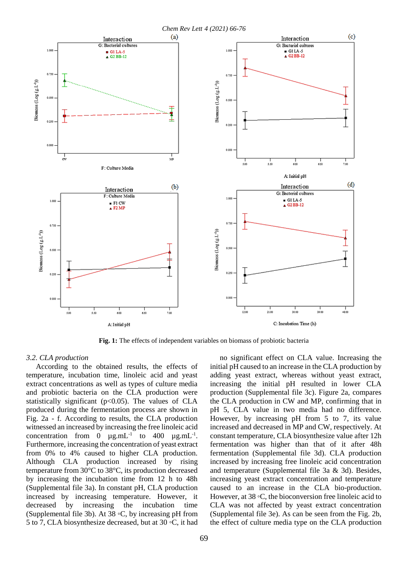

**Fig. 1:** The effects of independent variables on biomass of probiotic bacteria

#### *3.2. CLA production*

According to the obtained results, the effects of temperature, incubation time, linoleic acid and yeast extract concentrations as well as types of culture media and probiotic bacteria on the CLA production were statistically significant ( $p<0.05$ ). The values of CLA produced during the fermentation process are shown in Fig. 2a - f. According to results, the CLA production witnessed an increased by increasing the free linoleic acid concentration from 0  $\mu$ g.mL<sup>-1</sup> to 400  $\mu$ g.mL<sup>-1</sup>. Furthermore, increasing the concentration of yeast extract from 0% to 4% caused to higher CLA production. Although CLA production increased by rising temperature from 30°C to 38°C, its production decreased by increasing the incubation time from 12 h to 48h (Supplemental file 3a). In constant pH, CLA production increased by increasing temperature. However, it decreased by increasing the incubation time (Supplemental file 3b). At 38 ◦C, by increasing pH from 5 to 7, CLA biosynthesize decreased, but at 30 ◦C, it had

no significant effect on CLA value. Increasing the initial pH caused to an increase in the CLA production by adding yeast extract, whereas without yeast extract, increasing the initial pH resulted in lower CLA production (Supplemental file 3c). Figure 2a, compares the CLA production in CW and MP, confirming that in pH 5, CLA value in two media had no difference. However, by increasing pH from 5 to 7, its value increased and decreased in MP and CW, respectively. At constant temperature, CLA biosynthesize value after 12h fermentation was higher than that of it after 48h fermentation (Supplemental file 3d). CLA production increased by increasing free linoleic acid concentration and temperature (Supplemental file 3a & 3d). Besides, increasing yeast extract concentration and temperature caused to an increase in the CLA bio-production. However, at 38 ◦C, the bioconversion free linoleic acid to CLA was not affected by yeast extract concentration (Supplemental file 3e). As can be seen from the Fig. 2b, the effect of culture media type on the CLA production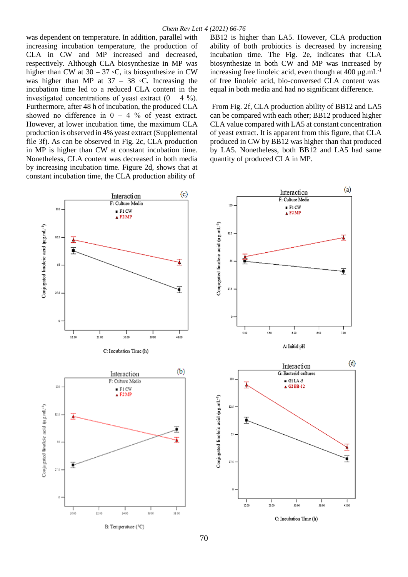was dependent on temperature. In addition, parallel with increasing incubation temperature, the production of CLA in CW and MP increased and decreased, respectively. Although CLA biosynthesize in MP was higher than CW at  $30 - 37$  °C, its biosynthesize in CW was higher than MP at  $37 - 38$   $\degree$ C. Increasing the incubation time led to a reduced CLA content in the investigated concentrations of yeast extract  $(0 - 4 \%)$ . Furthermore, after 48 h of incubation, the produced CLA showed no difference in  $0 - 4$  % of yeast extract. However, at lower incubation time, the maximum CLA production is observed in 4% yeast extract (Supplemental file 3f). As can be observed in Fig. 2c, CLA production in MP is higher than CW at constant incubation time. Nonetheless, CLA content was decreased in both media by increasing incubation time. Figure 2d, shows that at constant incubation time, the CLA production ability of

BB12 is higher than LA5. However, CLA production ability of both probiotics is decreased by increasing incubation time. The Fig. 2e, indicates that CLA biosynthesize in both CW and MP was increased by increasing free linoleic acid, even though at  $400 \mu$ g.mL<sup>-1</sup> of free linoleic acid, bio-conversed CLA content was equal in both media and had no significant difference.

From Fig. 2f, CLA production ability of BB12 and LA5 can be compared with each other; BB12 produced higher CLA value compared with LA5 at constant concentration of yeast extract. It is apparent from this figure, that CLA produced in CW by BB12 was higher than that produced by LA5. Nonetheless, both BB12 and LA5 had same quantity of produced CLA in MP.

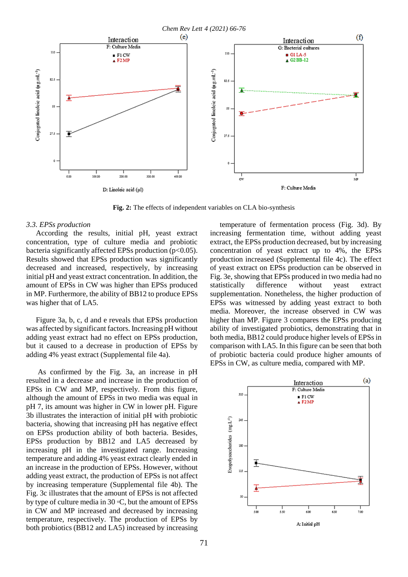*Chem Rev Lett 4 (2021) 66-76*  $(e)$  $\circ$ Interaction Interaction F: Culture Media G: Bacterial cultures 110  $11($  $GHLA-5$  $F1$  CW  $G2BB-12$  $E2MP$ Conjugated linoleic acid (ug.mL-1) Conjugated linoleic acid (ug.mL<sup>-1</sup>) 82.5  $\mathbf{B}$ 55  $55$ 27.9 27.5  $0.00$ 100.00 200.00 300.00 400.00 ÷, F: Culture Media D: Linoleic acid (µl)

**Fig. 2:** The effects of independent variables on CLA bio-synthesis

#### *3.3. EPSs production*

According the results, initial pH, yeast extract concentration, type of culture media and probiotic bacteria significantly affected EPSs production ( $p<0.05$ ). Results showed that EPSs production was significantly decreased and increased, respectively, by increasing initial pH and yeast extract concentration. In addition, the amount of EPSs in CW was higher than EPSs produced in MP. Furthermore, the ability of BB12 to produce EPSs was higher that of LA5.

Figure 3a, b, c, d and e reveals that EPSs production was affected by significant factors. Increasing pH without adding yeast extract had no effect on EPSs production, but it caused to a decrease in production of EPSs by adding 4% yeast extract (Supplemental file 4a).

As confirmed by the Fig. 3a, an increase in pH resulted in a decrease and increase in the production of EPSs in CW and MP, respectively. From this figure, although the amount of EPSs in two media was equal in pH 7, its amount was higher in CW in lower pH. Figure 3b illustrates the interaction of initial pH with probiotic bacteria, showing that increasing pH has negative effect on EPSs production ability of both bacteria. Besides, EPSs production by BB12 and LA5 decreased by increasing pH in the investigated range. Increasing temperature and adding 4% yeast extract clearly ended in an increase in the production of EPSs. However, without adding yeast extract, the production of EPSs is not affect by increasing temperature (Supplemental file 4b). The Fig. 3c illustrates that the amount of EPSs is not affected by type of culture media in 30 ◦C, but the amount of EPSs in CW and MP increased and decreased by increasing temperature, respectively. The production of EPSs by both probiotics (BB12 and LA5) increased by increasing

temperature of fermentation process (Fig. 3d). By increasing fermentation time, without adding yeast extract, the EPSs production decreased, but by increasing concentration of yeast extract up to 4%, the EPSs production increased (Supplemental file 4c). The effect of yeast extract on EPSs production can be observed in Fig. 3e, showing that EPSs produced in two media had no statistically difference without yeast extract supplementation. Nonetheless, the higher production of EPSs was witnessed by adding yeast extract to both media. Moreover, the increase observed in CW was higher than MP. Figure 3 compares the EPSs producing ability of investigated probiotics, demonstrating that in both media, BB12 could produce higher levels of EPSs in comparison with LA5. In this figure can be seen that both of probiotic bacteria could produce higher amounts of EPSs in CW, as culture media, compared with MP.

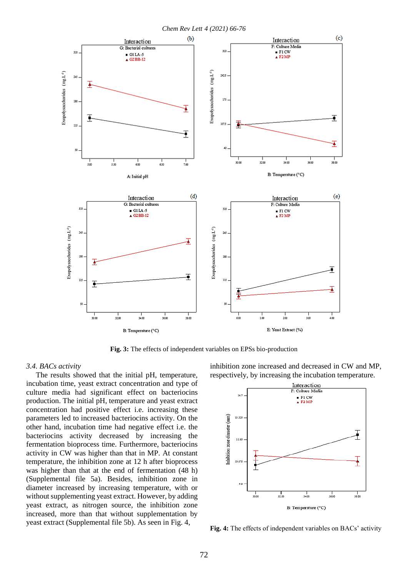

**Fig. 3:** The effects of independent variables on EPSs bio-production

#### *3.4. BACs activity*

The results showed that the initial pH, temperature, incubation time, yeast extract concentration and type of culture media had significant effect on bacteriocins production. The initial pH, temperature and yeast extract concentration had positive effect i.e. increasing these parameters led to increased bacteriocins activity. On the other hand, incubation time had negative effect i.e. the bacteriocins activity decreased by increasing the fermentation bioprocess time. Furthermore, bacteriocins activity in CW was higher than that in MP. At constant temperature, the inhibition zone at 12 h after bioprocess was higher than that at the end of fermentation (48 h) (Supplemental file 5a). Besides, inhibition zone in diameter increased by increasing temperature, with or without supplementing yeast extract. However, by adding yeast extract, as nitrogen source, the inhibition zone increased, more than that without supplementation by yeast extract (Supplemental file 5b). As seen in Fig. 4,

inhibition zone increased and decreased in CW and MP, respectively, by increasing the incubation temperature.



**Fig. 4:** The effects of independent variables on BACs' activity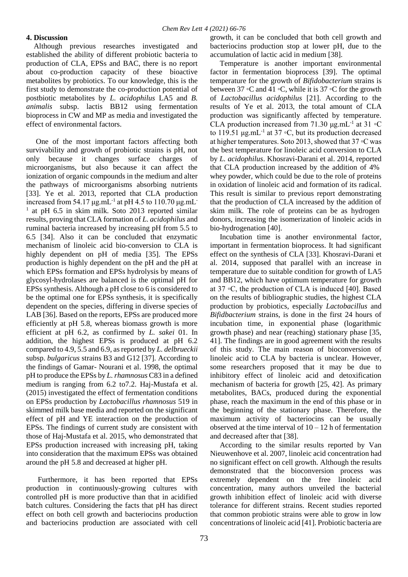## **4. Discussion**

 Although previous researches investigated and established the ability of different probiotic bacteria to production of CLA, EPSs and BAC, there is no report about co-production capacity of these bioactive metabolites by probiotics. To our knowledge, this is the first study to demonstrate the co-production potential of postbiotic metabolites by *L. acidophilus* LA5 and *B. animalis* subsp. lactis BB12 using fermentation bioprocess in CW and MP as media and investigated the effect of environmental factors.

One of the most important factors affecting both survivability and growth of probiotic strains is pH, not only because it changes surface charges of microorganisms, but also because it can affect the ionization of organic compounds in the medium and alter the pathways of microorganisms absorbing nutrients [33]. Ye et al. 2013, reported that CLA production increased from  $54.17 \mu g.mL^{-1}$  at pH 4.5 to  $110.70 \mu g.mL^{-1}$ <sup>1</sup> at pH 6.5 in skim milk. Soto 2013 reported similar results, proving that CLA formation of *L. acidophilus* and ruminal bacteria increased by increasing pH from 5.5 to 6.5 [34]. Also it can be concluded that enzymatic mechanism of linoleic acid bio-conversion to CLA is highly dependent on pH of media [35]. The EPSs production is highly dependent on the pH and the pH at which EPSs formation and EPSs hydrolysis by means of glycosyl-hydrolases are balanced is the optimal pH for EPSs synthesis. Although a pH close to 6 is considered to be the optimal one for EPSs synthesis, it is specifically dependent on the species, differing in diverse species of LAB [36]. Based on the reports, EPSs are produced more efficiently at pH 5.8, whereas biomass growth is more efficient at pH 6.2, as confirmed by *L. sakei* 01. In addition, the highest EPSs is produced at pH 6.2 compared to 4.9, 5.5 and 6.9, as reported by *L. delbrueckii* subsp. *bulgaricus* strains B3 and G12 [37]. According to the findings of Gamar- Nourani et al. 1998, the optimal pH to produce the EPSs by *L. rhamnosus* C83 in a defined medium is ranging from 6.2 to7.2. Haj-Mustafa et al. (2015) investigated the effect of fermentation conditions on EPSs production by *Lactobacillus rhamnosus* 519 in skimmed milk base media and reported on the significant effect of pH and YE interaction on the production of EPSs. The findings of current study are consistent with those of Haj-Mustafa et al. 2015, who demonstrated that EPSs production increased with increasing pH, taking into consideration that the maximum EPSs was obtained around the pH 5.8 and decreased at higher pH.

Furthermore, it has been reported that EPSs production in continuously-growing cultures with controlled pH is more productive than that in acidified batch cultures. Considering the facts that pH has direct effect on both cell growth and bacteriocins production and bacteriocins production are associated with cell growth, it can be concluded that both cell growth and bacteriocins production stop at lower pH, due to the accumulation of lactic acid in medium [38].

Temperature is another important environmental factor in fermentation bioprocess [39]. The optimal temperature for the growth of *Bifidobacterium* strains is between 37 ◦C and 41 ◦C, while it is 37 ◦C for the growth of *Lactobacillus acidophilus* [21]. According to the results of Ye et al. 2013, the total amount of CLA production was significantly affected by temperature. CLA production increased from 71.30  $\mu$ g.mL<sup>-1</sup> at 31 °C to 119.51  $\mu$ g.mL<sup>-1</sup> at 37 °C, but its production decreased at higher temperatures. Soto 2013, showed that 37 ◦C was the best temperature for linoleic acid conversion to CLA by *L. acidophilus*. Khosravi-Darani et al. 2014, reported that CLA production increased by the addition of 4% whey powder, which could be due to the role of proteins in oxidation of linoleic acid and formation of its radical. This result is similar to previous report demonstrating that the production of CLA increased by the addition of skim milk. The role of proteins can be as hydrogen donors, increasing the isomerization of linoleic acids in bio-hydrogenation [40].

Incubation time is another environmental factor, important in fermentation bioprocess. It had significant effect on the synthesis of CLA [33]. Khosravi-Darani et al. 2014, supposed that parallel with an increase in temperature due to suitable condition for growth of LA5 and BB12, which have optimum temperature for growth at 37 ◦C, the production of CLA is induced [40]. Based on the results of bibliographic studies, the highest CLA production by probiotics, especially *Lactobacillus* and *Bifidbacterium* strains, is done in the first 24 hours of incubation time, in exponential phase (logarithmic growth phase) and near (reaching) stationary phase [35, 41]. The findings are in good agreement with the results of this study. The main reason of bioconversion of linoleic acid to CLA by bacteria is unclear. However, some researchers proposed that it may be due to inhibitory effect of linoleic acid and detoxification mechanism of bacteria for growth [25, 42]. As primary metabolites, BACs, produced during the exponential phase, reach the maximum in the end of this phase or in the beginning of the stationary phase. Therefore, the maximum activity of bacteriocins can be usually observed at the time interval of  $10 - 12$  h of fermentation and decreased after that [38].

According to the similar results reported by Van Nieuwenhove et al. 2007, linoleic acid concentration had no significant effect on cell growth. Although the results demonstrated that the bioconversion process was extremely dependent on the free linoleic acid concentration, many authors unveiled the bacterial growth inhibition effect of linoleic acid with diverse tolerance for different strains. Recent studies reported that common probiotic strains were able to grow in low concentrations of linoleic acid [41]. Probiotic bacteria are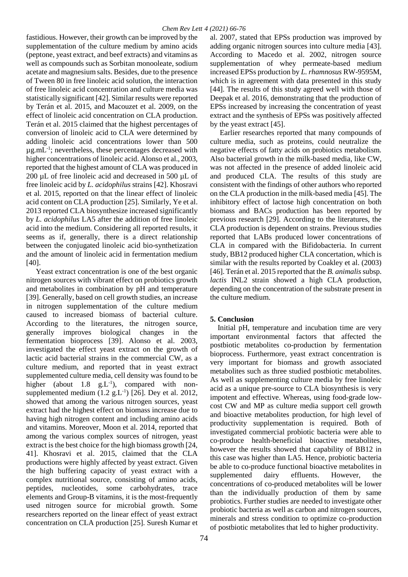fastidious. However, their growth can be improved by the supplementation of the culture medium by amino acids (peptone, yeast extract, and beef extracts) and vitamins as well as compounds such as Sorbitan monooleate, sodium acetate and magnesium salts. Besides, due to the presence of Tween 80 in free linoleic acid solution, the interaction of free linoleic acid concentration and culture media was statistically significant [42]. Similar results were reported by Terán et al. 2015, and Macouzet et al. 2009, on the effect of linoleic acid concentration on CLA production. Terán et al. 2015 claimed that the highest percentages of conversion of linoleic acid to CLA were determined by adding linoleic acid concentrations lower than 500 µg.mL-1 ; nevertheless, these percentages decreased with higher concentrations of linoleic acid. Alonso et al., 2003, reported that the highest amount of CLA was produced in 200 µL of free linoleic acid and decreased in 500 µL of free linoleic acid by *L. acidophilus* strains [42]. Khosravi et al. 2015, reported on that the linear effect of linoleic acid content on CLA production [25]. Similarly, Ye et al. 2013 reported CLA biosynthesize increased significantly by *L. acidophilus* LA5 after the addition of free linoleic acid into the medium. Considering all reported results, it seems as if, generally, there is a direct relationship between the conjugated linoleic acid bio-synthetization and the amount of linoleic acid in fermentation medium [40].

Yeast extract concentration is one of the best organic nitrogen sources with vibrant effect on probiotics growth and metabolites in combination by pH and temperature [39]. Generally, based on cell growth studies, an increase in nitrogen supplementation of the culture medium caused to increased biomass of bacterial culture. According to the literatures, the nitrogen source, generally improves biological changes in the fermentation bioprocess [39]. Alonso et al. 2003, investigated the effect yeast extract on the growth of lactic acid bacterial strains in the commercial CW, as a culture medium, and reported that in yeast extract supplemented culture media, cell density was found to be higher (about  $1.8$  g.L<sup>-1</sup>), compared with nonsupplemented medium  $(1.2 \text{ g.L}^{-1})$  [26]. Dey et al. 2012, showed that among the various nitrogen sources, yeast extract had the highest effect on biomass increase due to having high nitrogen content and including amino acids and vitamins. Moreover, Moon et al. 2014, reported that among the various complex sources of nitrogen, yeast extract is the best choice for the high biomass growth [24, 41]. Khosravi et al. 2015, claimed that the CLA productions were highly affected by yeast extract. Given the high buffering capacity of yeast extract with a complex nutritional source, consisting of amino acids, peptides, nucleotides, some carbohydrates, trace elements and Group-B vitamins, it is the most-frequently used nitrogen source for microbial growth. Some researchers reported on the linear effect of yeast extract concentration on CLA production [25]. Suresh Kumar et

al. 2007, stated that EPSs production was improved by adding organic nitrogen sources into culture media [43]. According to Macedo et al. 2002, nitrogen source supplementation of whey permeate-based medium increased EPSs production by *L. rhamnosus* RW-9595M, which is in agreement with data presented in this study [44]. The results of this study agreed well with those of Deepak et al. 2016, demonstrating that the production of EPSs increased by increasing the concentration of yeast extract and the synthesis of EPSs was positively affected by the yeast extract [45].

Earlier researches reported that many compounds of culture media, such as proteins, could neutralize the negative effects of fatty acids on probiotics metabolism. Also bacterial growth in the milk-based media, like CW, was not affected in the presence of added linoleic acid and produced CLA. The results of this study are consistent with the findings of other authors who reported on the CLA production in the milk-based media [45]. The inhibitory effect of lactose high concentration on both biomass and BACs production has been reported by previous research [29]. According to the literatures, the CLA production is dependent on strains. Previous studies reported that LABs produced lower concentrations of CLA in compared with the Bifidobacteria. In current study, BB12 produced higher CLA concertation, which is similar with the results reported by Coakley et al. (2003) [46]. Terán et al. 2015 reported that the *B. animalis*subsp. *lactis* INL2 strain showed a high CLA production, depending on the concentration of the substrate present in the culture medium.

# **5. Conclusion**

 Initial pH, temperature and incubation time are very important environmental factors that affected the postbiotic metabolites co-production by fermentation bioprocess. Furthermore, yeast extract concentration is very important for biomass and growth associated metabolites such as three studied postbiotic metabolites. As well as supplementing culture media by free linoleic acid as a unique pre-source to CLA biosynthesis is very impotent and effective. Whereas, using food-grade lowcost CW and MP as culture media support cell growth and bioactive metabolites production, for high level of productivity supplementation is required. Both of investigated commercial probiotic bacteria were able to co-produce health-beneficial bioactive metabolites, however the results showed that capability of BB12 in this case was higher than LA5. Hence, probiotic bacteria be able to co-produce functional bioactive metabolites in supplemented dairy effluents. However, the concentrations of co-produced metabolites will be lower than the individually production of them by same probiotics. Further studies are needed to investigate other probiotic bacteria as well as carbon and nitrogen sources, minerals and stress condition to optimize co-production of postbiotic metabolites that led to higher productivity.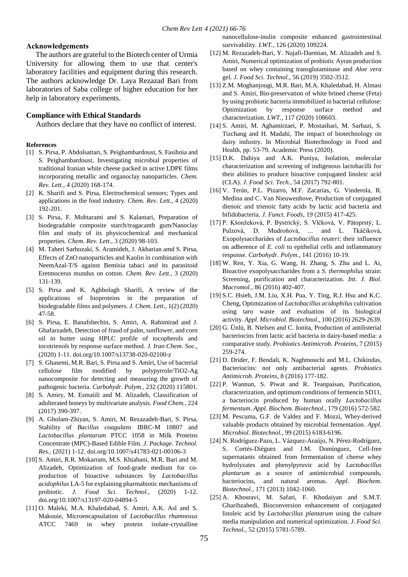#### **Acknowledgements**

 The authors are grateful to the Biotech center of Urmia University for allowing them to use that center's laboratory facilities and equipment during this research. The authors acknowledge Dr. Laya Rezazad Bari from laboratories of Saba college of higher education for her help in laboratory experiments.

#### **Compliance with Ethical Standards**

Authors declare that they have no conflict of interest.

#### **References**

- [1] S. Pirsa, P. Abdolsattari, S. Peighambardoust, S. Fasihnia and S. Peighambardoust, Investigating microbial properties of traditional Iranian white cheese packed in active LDPE films incorporating metallic and organoclay nanoparticles. *Chem. Rev. Lett.,* 4 (2020) 168-174.
- [2] K. Sharifi and S. Pirsa, Electrochemical sensors; Types and applications in the food industry. *Chem. Rev. Lett.,* 4 (2020) 192-201.
- [3] S. Pirsa, F. Mohtarami and S. Kalantari, Preparation of biodegradable composite starch/tragacanth gum/Nanoclay film and study of its physicochemical and mechanical properties. *Chem. Rev. Lett.,* 3 (2020) 98-103.
- [4] M. Taheri Sarhozaki, S. Aramideh, J. Akbarian amd S. Pirsa, Effects of ZnO nanoparticles and Kaolin in combination with NeemAzal-T/S against Bemisia tabaci and its parasitoid Eretmocerus mundus on cotton. *Chem. Rev. Lett.,* 3 (2020) 131-139.
- [5] S. Pirsa and K. Aghbolagh Sharifi, A review of the applications of bioproteins in the preparation of biodegradable films and polymers. *J. Chem. Lett.,* 1(2) (2020) 47-58.
- [6] S. Pirsa, E. Banafshechin, S. Amiri, A. Rahimirad and J. Ghafarzadeh, Detection of fraud of palm, sunflower, and corn oil in butter using HPLC profile of tocopherols and tocotrienols by response surface method. *J. Iran Chem. Soc.,* (2020) 1-11. doi.org/10.1007/s13738-020-02100-z
- [7] S. Ghasemi, M.R. Bari, S. Pirsa and S. Amiri, Use of bacterial cellulose film modified by polypyrrole/TiO2-Ag nanocomposite for detecting and measuring the growth of pathogenic bacteria. *Carbohydr. Polym.,* 232 (2020) 115801.
- [8] S. Amiry, M. Esmaiili and M. Alizadeh, Classification of adulterated honeys by multivariate analysis. *Food Chem.,* 224 (2017) 390-397.
- [9] A. Gholam-Zhiyan, S. Amiri, M. Rezazadeh-Bari, S. Pirsa, Stability of *Bacillus coagulans* IBRC-M 10807 and *Lactobacillus plantarum* PTCC 1058 in Milk Proteins Concentrate (MPC)-Based Edible Film. *J. Package. Technol. Res.,* (2021) 1-12. doi.org/10.1007/s41783-021-00106-3
- [10] S. Amiri, R.R. Mokarram, M.S. Khiabani, M.R. Bari and M. Alizadeh, Optimization of food-grade medium for coproduction of bioactive substances by *Lactobacillus acidophilus* LA-5 for explaining pharmabiotic mechanisms of probiotic. *J. Food Sci. Technol.,* (2020) 1-12. doi.org/10.1007/s13197-020-04894-5
- [11] O. Maleki, M.A. Khaledabad, S. Amiri, A.K. Asl and S. Makouie, Microencapsulation of *Lactobacillus rhamnosus* ATCC 7469 in whey protein isolate-crystalline

nanocellulose-inulin composite enhanced gastrointestinal survivability. *LWT.,* 126 (2020) 109224.

- [12] M. Rezazadeh-Bari, Y. Najafi-Darmian, M. Alizadeh and S. Amiri, Numerical optimization of probiotic Ayran production based on whey containing transglutaminase and *Aloe vera* gel. *J. Food Sci. Technol.,* 56 (2019) 3502-3512.
- [13] Z.M. Moghanjougi, M.R. Bari, M.A. Khaledabad, H. Almasi and S. Amiri, Bio-preservation of white brined cheese (Feta) by using probiotic bacteria immobilized in bacterial cellulose: Optimization by response surface method and characterization. *LWT.,* 117 (2020) 108603.
- [14] S. Amiri, M. Aghamirzaei, P. Mostashari, M. Sarbazi, S. Tizchang and H. Madahi, The impact of biotechnology on dairy industry. In Microbial Biotechnology in Food and Health, pp. 53-79. Academic Press (2020).
- [15] D.K. Dahiya and A.K. Puniya, Isolation, molecular characterization and screening of indigenous lactobacilli for their abilities to produce bioactive conjugated linoleic acid (CLA). *J. Food Sci. Tech.,* 54 (2017) 792-801.
- [16] V. Terán, P.L. Pizarro, M.F. Zacarías, G. Vinderola, R. Medina and C. Van Nieuwenhove, Production of conjugated dienoic and trienoic fatty acids by lactic acid bacteria and bifidobacteria. *J. Funct. Foods,* 19 (2015) 417-425.
- [17] P. Kšonžeková, P. Bystrický, S. Vlčková, V. Pätoprstý, L. Pulzová, D. Mudroňová, ... and L. Tkáčiková, Exopolysaccharides of *Lactobacillus reuteri*: their influence on adherence of *E. coli* to epithelial cells and inflammatory response. *Carbohydr. Polym.,* 141 (2016) 10-19.
- [18] W. Ren, Y. Xia, G. Wang, H. Zhang, S. Zhu and L. Ai, Bioactive exopolysaccharides from a *S. thermophilus* strain: Screening, purification and characterization. *Int. J. Biol. Macromol.,* 86 (2016) 402-407.
- [19] S.C. Hsieh, J.M. Liu, X.H. Pua, Y. Ting, R.J. Hsu and K.C. Cheng, Optimization of *Lactobacillus acidophilus* cultivation using taro waste and evaluation of its biological activity. *Appl. Microbiol. Biotechnol.,* 100 (2016) 2629-2639.
- [20] G. Ünlü, B. Nielsen and C. Ionita, Production of antilisterial bacteriocins from lactic acid bacteria in dairy-based media: a comparative study. *Probiotics Antimicrob. Proteins,* 7 (2015) 259-274.
- [21] D. Drider, F. Bendali, K. Naghmouchi and M.L. Chikindas, Bacteriocins: not only antibacterial agents. *Probiotics Antimicrob. Proteins,* 8 (2016) 177-182.
- [22] P. Wannun, S. Piwat and R. Teanpaisan, Purification, characterization, and optimum conditions of fermencin SD11, a bacteriocin produced by human orally *Lactobacillus fermentum*. *Appl. Biochem. Biotechnol.,* 179 (2016) 572-582.
- [23] M. Pescuma, G.F. de Valdez and F. Mozzi, Whey-derived valuable products obtained by microbial fermentation. *Appl. Microbiol. Biotechnol.,* 99 (2015) 6183-6196.
- [24] N. Rodríguez-Pazo, L. Vázquez-Araújo, N. Pérez-Rodríguez, S. Cortés-Diéguez and J.M. Domínguez, Cell-free supernatants obtained from fermentation of cheese whey hydrolyzates and phenylpyruvic acid by *Lactobacillus plantarum* as a source of antimicrobial compounds, bacteriocins, and natural aromas. *Appl. Biochem. Biotechnol.,* 171 (2013) 1042-1060.
- [25] A. Khosravi, M. Safari, F. Khodaiyan and S.M.T. Gharibzahedi, Bioconversion enhancement of conjugated linoleic acid by *Lactobacillus plantarum* using the culture media manipulation and numerical optimization. *J. Food Sci. Technol.,* 52 (2015) 5781-5789.